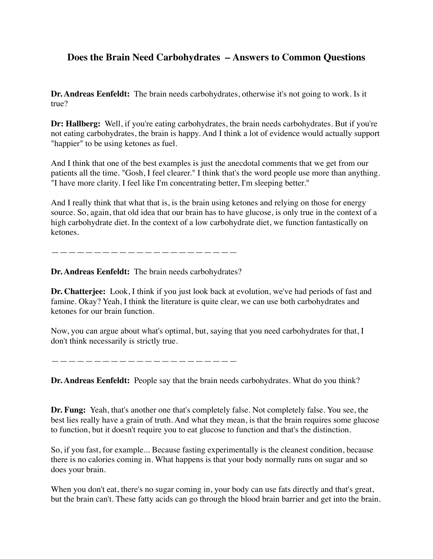## **Does the Brain Need Carbohydrates – Answers to Common Questions**

**Dr. Andreas Eenfeldt:** The brain needs carbohydrates, otherwise it's not going to work. Is it true?

**Dr: Hallberg:** Well, if you're eating carbohydrates, the brain needs carbohydrates. But if you're not eating carbohydrates, the brain is happy. And I think a lot of evidence would actually support "happier" to be using ketones as fuel.

And I think that one of the best examples is just the anecdotal comments that we get from our patients all the time. "Gosh, I feel clearer." I think that's the word people use more than anything. "I have more clarity. I feel like I'm concentrating better, I'm sleeping better."

And I really think that what that is, is the brain using ketones and relying on those for energy source. So, again, that old idea that our brain has to have glucose, is only true in the context of a high carbohydrate diet. In the context of a low carbohydrate diet, we function fantastically on ketones.

——————————————————————

**Dr. Andreas Eenfeldt:** The brain needs carbohydrates?

**Dr. Chatterjee:** Look, I think if you just look back at evolution, we've had periods of fast and famine. Okay? Yeah, I think the literature is quite clear, we can use both carbohydrates and ketones for our brain function.

Now, you can argue about what's optimal, but, saying that you need carbohydrates for that, I don't think necessarily is strictly true.

——————————————————————

**Dr. Andreas Eenfeldt:** People say that the brain needs carbohydrates. What do you think?

**Dr. Fung:** Yeah, that's another one that's completely false. Not completely false. You see, the best lies really have a grain of truth. And what they mean, is that the brain requires some glucose to function, but it doesn't require you to eat glucose to function and that's the distinction.

So, if you fast, for example... Because fasting experimentally is the cleanest condition, because there is no calories coming in. What happens is that your body normally runs on sugar and so does your brain.

When you don't eat, there's no sugar coming in, your body can use fats directly and that's great, but the brain can't. These fatty acids can go through the blood brain barrier and get into the brain.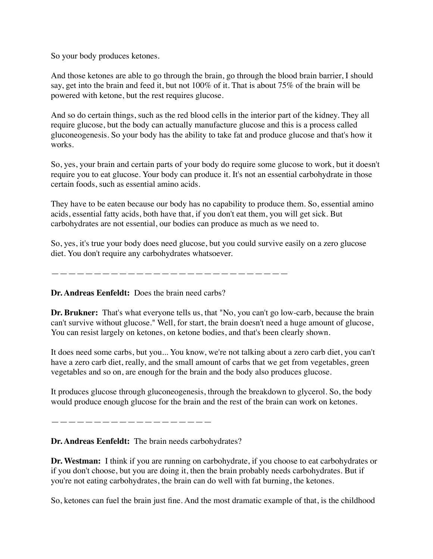So your body produces ketones.

And those ketones are able to go through the brain, go through the blood brain barrier, I should say, get into the brain and feed it, but not 100% of it. That is about 75% of the brain will be powered with ketone, but the rest requires glucose.

And so do certain things, such as the red blood cells in the interior part of the kidney. They all require glucose, but the body can actually manufacture glucose and this is a process called gluconeogenesis. So your body has the ability to take fat and produce glucose and that's how it works.

So, yes, your brain and certain parts of your body do require some glucose to work, but it doesn't require you to eat glucose. Your body can produce it. It's not an essential carbohydrate in those certain foods, such as essential amino acids.

They have to be eaten because our body has no capability to produce them. So, essential amino acids, essential fatty acids, both have that, if you don't eat them, you will get sick. But carbohydrates are not essential, our bodies can produce as much as we need to.

So, yes, it's true your body does need glucose, but you could survive easily on a zero glucose diet. You don't require any carbohydrates whatsoever.

——————————————————————

**Dr. Andreas Eenfeldt:** Does the brain need carbs?

**Dr. Brukner:** That's what everyone tells us, that "No, you can't go low-carb, because the brain can't survive without glucose." Well, for start, the brain doesn't need a huge amount of glucose, You can resist largely on ketones, on ketone bodies, and that's been clearly shown.

It does need some carbs, but you... You know, we're not talking about a zero carb diet, you can't have a zero carb diet, really, and the small amount of carbs that we get from vegetables, green vegetables and so on, are enough for the brain and the body also produces glucose.

It produces glucose through gluconeogenesis, through the breakdown to glycerol. So, the body would produce enough glucose for the brain and the rest of the brain can work on ketones.

———————————————————

**Dr. Andreas Eenfeldt:** The brain needs carbohydrates?

**Dr. Westman:** I think if you are running on carbohydrate, if you choose to eat carbohydrates or if you don't choose, but you are doing it, then the brain probably needs carbohydrates. But if you're not eating carbohydrates, the brain can do well with fat burning, the ketones.

So, ketones can fuel the brain just fine. And the most dramatic example of that, is the childhood